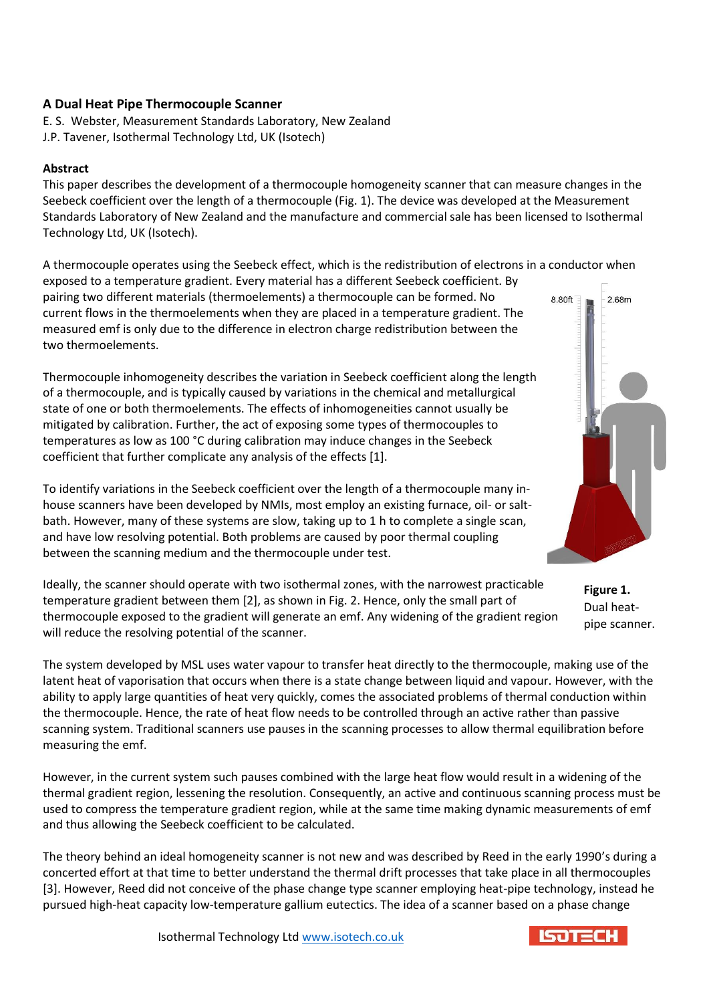# **A Dual Heat Pipe Thermocouple Scanner**

E. S. Webster, Measurement Standards Laboratory, New Zealand J.P. Tavener, Isothermal Technology Ltd, UK (Isotech)

#### **Abstract**

This paper describes the development of a thermocouple homogeneity scanner that can measure changes in the Seebeck coefficient over the length of a thermocouple (Fig. 1). The device was developed at the Measurement Standards Laboratory of New Zealand and the manufacture and commercial sale has been licensed to Isothermal Technology Ltd, UK (Isotech).

A thermocouple operates using the Seebeck effect, which is the redistribution of electrons in a conductor when exposed to a temperature gradient. Every material has a different Seebeck coefficient. By

pairing two different materials (thermoelements) a thermocouple can be formed. No current flows in the thermoelements when they are placed in a temperature gradient. The measured emf is only due to the difference in electron charge redistribution between the two thermoelements.

Thermocouple inhomogeneity describes the variation in Seebeck coefficient along the length of a thermocouple, and is typically caused by variations in the chemical and metallurgical state of one or both thermoelements. The effects of inhomogeneities cannot usually be mitigated by calibration. Further, the act of exposing some types of thermocouples to temperatures as low as 100 °C during calibration may induce changes in the Seebeck coefficient that further complicate any analysis of the effects [1].



To identify variations in the Seebeck coefficient over the length of a thermocouple many inhouse scanners have been developed by NMIs, most employ an existing furnace, oil- or saltbath. However, many of these systems are slow, taking up to 1 h to complete a single scan, and have low resolving potential. Both problems are caused by poor thermal coupling between the scanning medium and the thermocouple under test.

Ideally, the scanner should operate with two isothermal zones, with the narrowest practicable temperature gradient between them [2], as shown in Fig. 2. Hence, only the small part of thermocouple exposed to the gradient will generate an emf. Any widening of the gradient region will reduce the resolving potential of the scanner.

**Figure 1.** Dual heatpipe scanner.

The system developed by MSL uses water vapour to transfer heat directly to the thermocouple, making use of the latent heat of vaporisation that occurs when there is a state change between liquid and vapour. However, with the ability to apply large quantities of heat very quickly, comes the associated problems of thermal conduction within the thermocouple. Hence, the rate of heat flow needs to be controlled through an active rather than passive scanning system. Traditional scanners use pauses in the scanning processes to allow thermal equilibration before measuring the emf.

However, in the current system such pauses combined with the large heat flow would result in a widening of the thermal gradient region, lessening the resolution. Consequently, an active and continuous scanning process must be used to compress the temperature gradient region, while at the same time making dynamic measurements of emf and thus allowing the Seebeck coefficient to be calculated.

The theory behind an ideal homogeneity scanner is not new and was described by Reed in the early 1990's during a concerted effort at that time to better understand the thermal drift processes that take place in all thermocouples [3]. However, Reed did not conceive of the phase change type scanner employing heat-pipe technology, instead he pursued high-heat capacity low-temperature gallium eutectics. The idea of a scanner based on a phase change

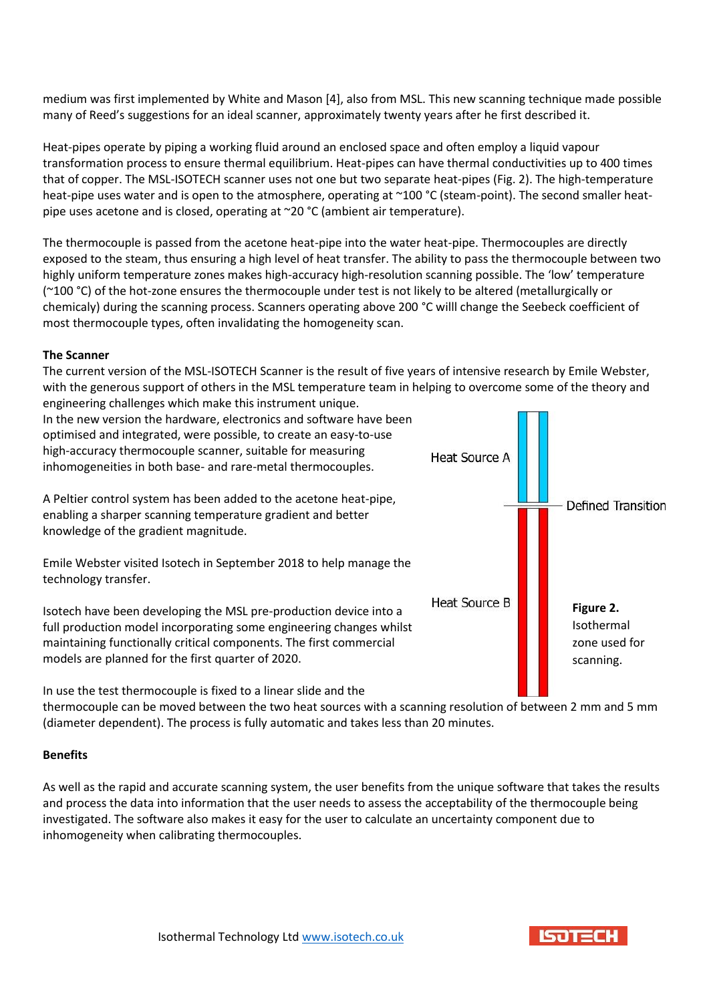medium was first implemented by White and Mason [4], also from MSL. This new scanning technique made possible many of Reed's suggestions for an ideal scanner, approximately twenty years after he first described it.

Heat-pipes operate by piping a working fluid around an enclosed space and often employ a liquid vapour transformation process to ensure thermal equilibrium. Heat-pipes can have thermal conductivities up to 400 times that of copper. The MSL-ISOTECH scanner uses not one but two separate heat-pipes (Fig. 2). The high-temperature heat-pipe uses water and is open to the atmosphere, operating at ~100 °C (steam-point). The second smaller heatpipe uses acetone and is closed, operating at ~20 °C (ambient air temperature).

The thermocouple is passed from the acetone heat-pipe into the water heat-pipe. Thermocouples are directly exposed to the steam, thus ensuring a high level of heat transfer. The ability to pass the thermocouple between two highly uniform temperature zones makes high-accuracy high-resolution scanning possible. The 'low' temperature (~100 °C) of the hot-zone ensures the thermocouple under test is not likely to be altered (metallurgically or chemicaly) during the scanning process. Scanners operating above 200 °C willl change the Seebeck coefficient of most thermocouple types, often invalidating the homogeneity scan.

## **The Scanner**

The current version of the MSL-ISOTECH Scanner is the result of five years of intensive research by Emile Webster, with the generous support of others in the MSL temperature team in helping to overcome some of the theory and engineering challenges which make this instrument unique.



thermocouple can be moved between the two heat sources with a scanning resolution of between 2 mm and 5 mm (diameter dependent). The process is fully automatic and takes less than 20 minutes.

### **Benefits**

As well as the rapid and accurate scanning system, the user benefits from the unique software that takes the results and process the data into information that the user needs to assess the acceptability of the thermocouple being investigated. The software also makes it easy for the user to calculate an uncertainty component due to inhomogeneity when calibrating thermocouples.